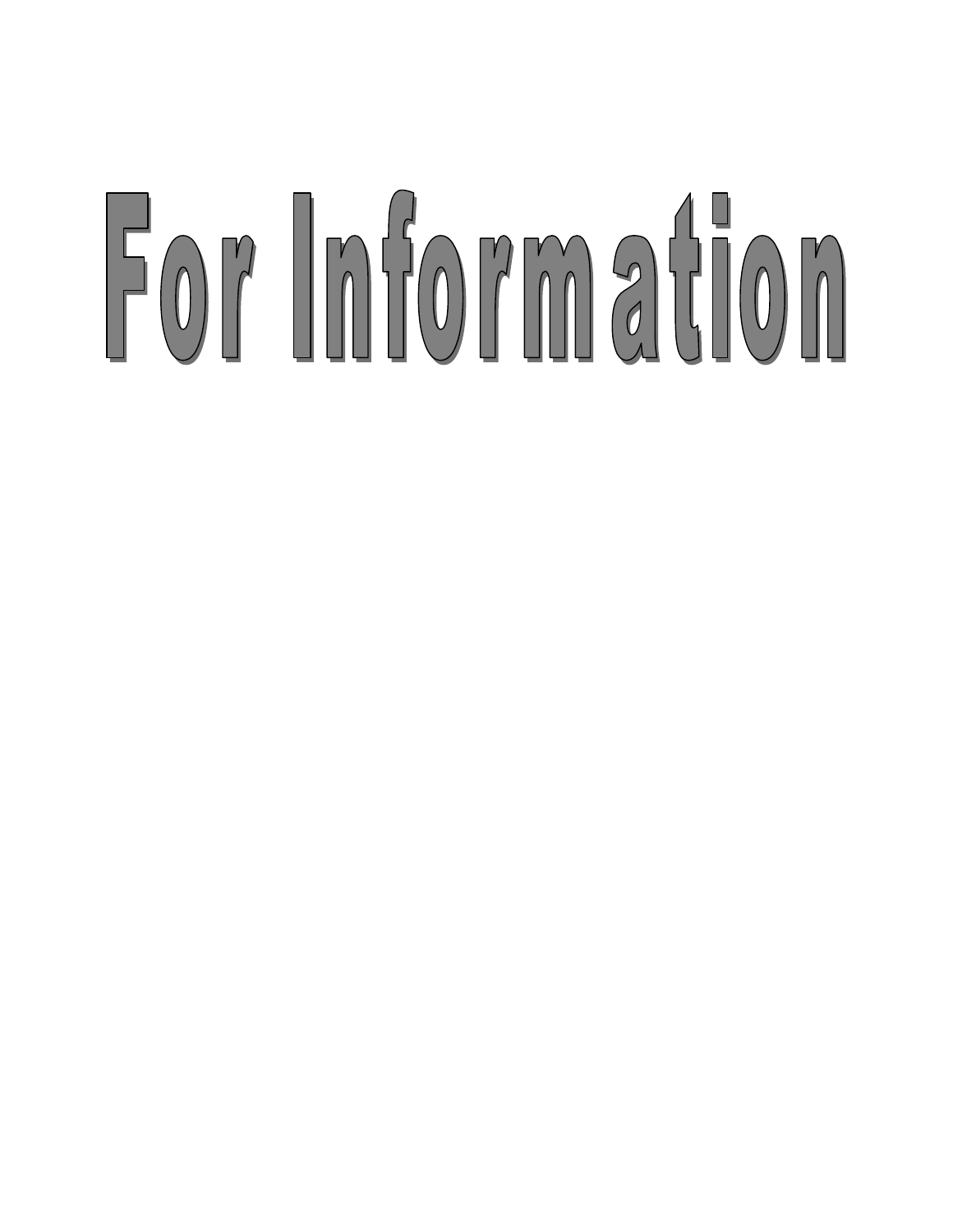# For Information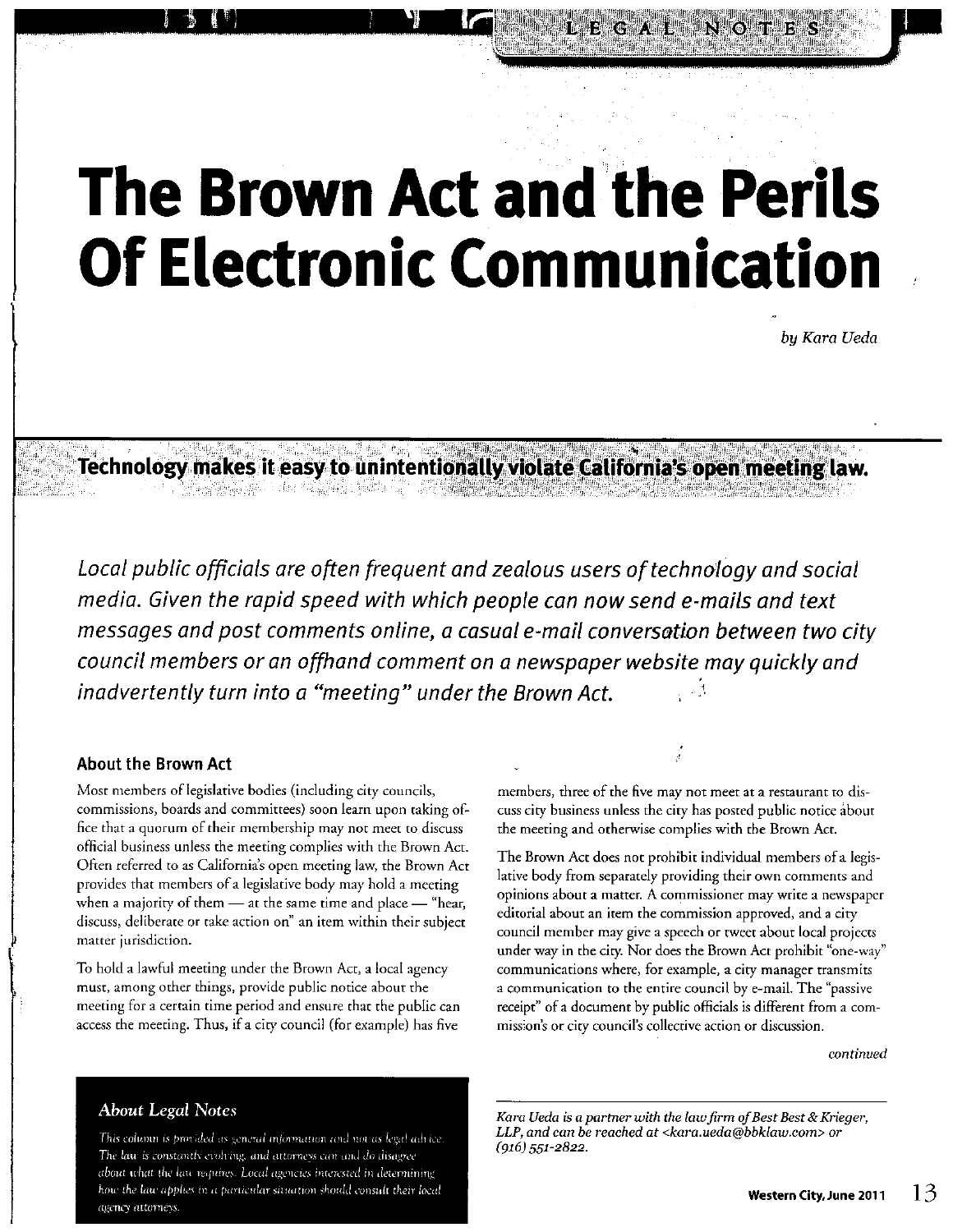# **The Brown Act and the Perils Of Electronic Communication**

bu Kara Ueda

Technology makes it easy to unintentionally violate California's open meeting law. 

Local public officials are often frequent and zealous users of technology and social media. Given the rapid speed with which people can now send e-mails and text messages and post comments online, a casual e-mail conversation between two city council members or an offhand comment on a newspaper website may quickly and inadvertently turn into a "meeting" under the Brown Act.

#### **About the Brown Act**

Most members of legislative bodies (including city councils, commissions, boards and committees) soon learn upon taking office that a quorum of their membership may not meet to discuss official business unless the meeting complies with the Brown Act. Often referred to as California's open meeting law, the Brown Act provides that members of a legislative body may hold a meeting when a majority of them - at the same time and place - "hear, discuss, deliberate or take action on" an item within their subject matter jurisdiction.

To hold a lawful meeting under the Brown Act, a local agency must, among other things, provide public notice about the meeting for a certain time period and ensure that the public can access the meeting. Thus, if a city council (for example) has five

members, three of the five may not meet at a restaurant to discuss city business unless the city has posted public notice about the meeting and otherwise complies with the Brown Act.

The Brown Act does not prohibit individual members of a legislative body from separately providing their own comments and opinions about a matter. A commissioner may write a newspaper editorial about an item the commission approved, and a city council member may give a speech or tweet about local projects under way in the city. Nor does the Brown Act prohibit "one-way" communications where, for example, a city manager transmits a communication to the entire council by e-mail. The "passive receipt" of a document by public officials is different from a commission's or city council's collective action or discussion.

continued

Kara Ueda is a partner with the law firm of Best Best & Krieger, LLP, and can be reached at <kara.ueda@bbklaw.com> or  $(916)$  551-2822.

#### **About Legal Notes**

This column is provided as general information and not as legal advice. The law is constantly evolving, and attorneys can and do disagree about what the law requires. Local agencies interested in determining how the law applies in a particular situation should consult their local agency attorneys.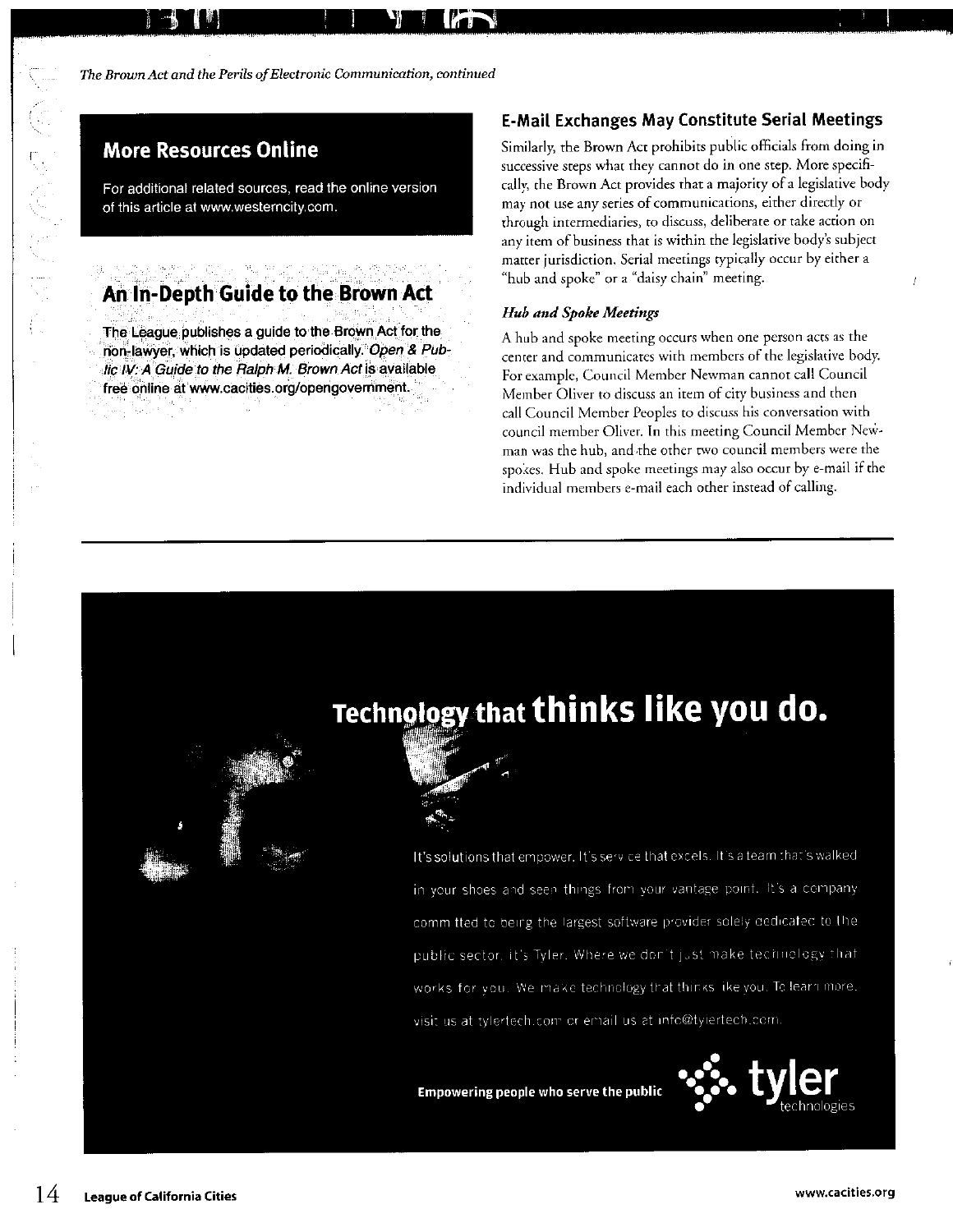The Brown Act and the Perils of Electronic Communication, continued

#### **More Resources Online**

For additional related sources, read the online version of this article at www.westerncity.com.

#### An In-Depth Guide to the Brown Act

The League publishes a guide to the Brown Act for the non-lawyer, which is updated periodically. Open & Public IV: A Guide to the Ralph M. Brown Act is available free online at www.cacities.org/opengovernment.

#### **E-Mail Exchanges May Constitute Serial Meetings**

Similarly, the Brown Act prohibits public officials from doing in successive steps what they cannot do in one step. More specifically, the Brown Act provides that a majority of a legislative body may not use any series of communications, either directly or through intermediaries, to discuss, deliberate or take action on any item of business that is within the legislative body's subject matter jurisdiction. Serial meetings typically occur by either a "hub and spoke" or a "daisy chain" meeting.

#### **Hub and Spoke Meetings**

A hub and spoke meeting occurs when one person acts as the center and communicates with members of the legislative body. For example, Council Member Newman cannot call Council Member Oliver to discuss an item of city business and then call Council Member Peoples to discuss his conversation with council member Oliver. In this meeting Council Member Newman was the hub, and the other two council members were the spokes. Hub and spoke meetings may also occur by e-mail if the individual members e-mail each other instead of calling.

## Technology that thinks like you do.

It's solutions that empower. It's service that excels. It's a team that's walked in your shoes and seen things from your vantage point. It's a company committed to being the largest software provider solely dedicated to the public sector, it's Tyler. Where we don't just make technology that works for you. We make technology that thinks like you. To learn more. visit us at tylertech.com or email us at info@tylertech.com.

Empowering people who serve the public

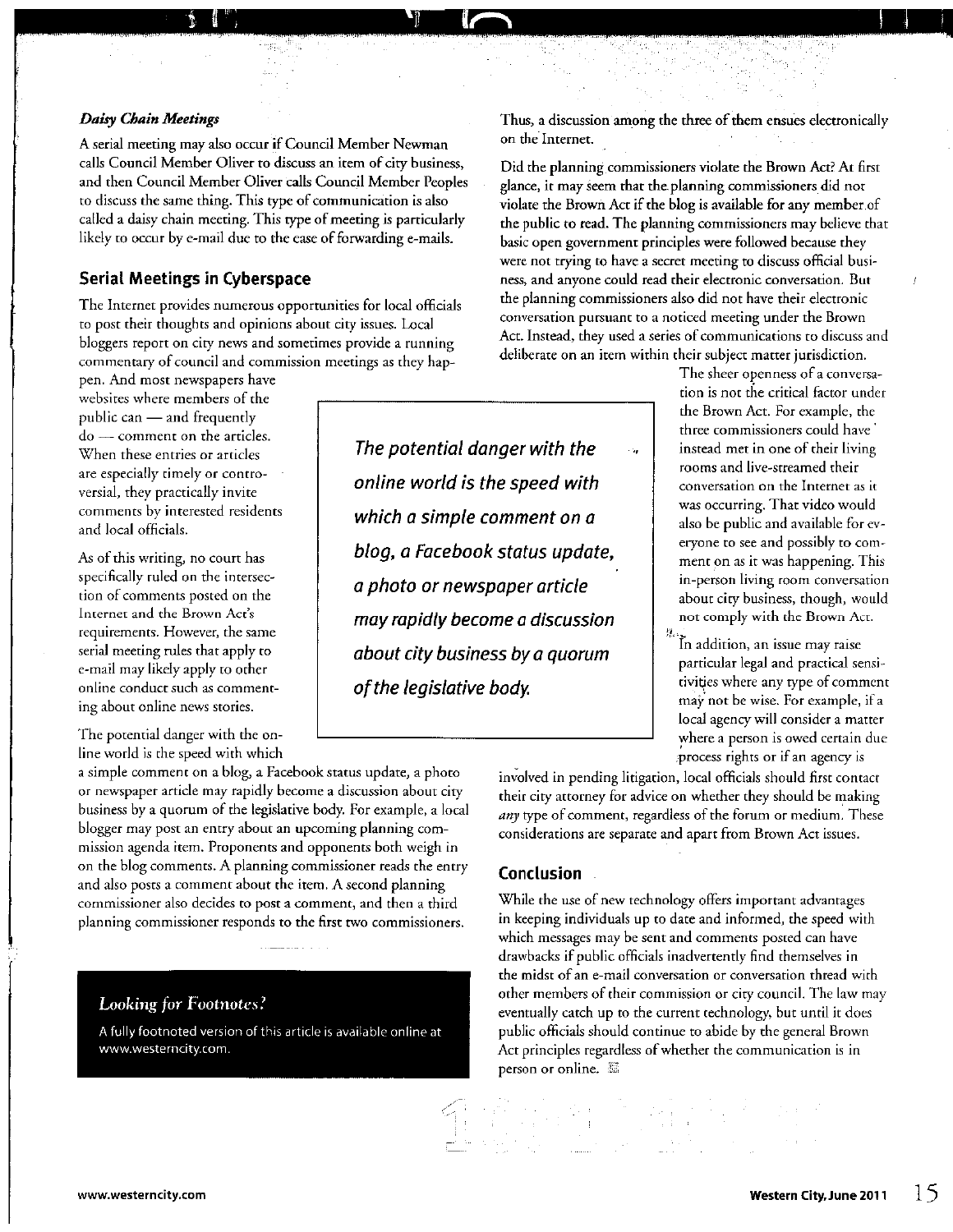#### **Daisy Chain Meetings**

A serial meeting may also occur if Council Member Newman calls Council Member Oliver to discuss an item of city business, and then Council Member Oliver calls Council Member Peoples to discuss the same thing. This type of communication is also called a daisy chain meeting. This type of meeting is particularly likely to occur by e-mail due to the ease of forwarding e-mails.

 $\mathbb{I}_q^*$ 

#### **Serial Meetings in Cyberspace**

The Internet provides numerous opportunities for local officials to post their thoughts and opinions about city issues. Local bloggers report on city news and sometimes provide a running commentary of council and commission meetings as they hap-

pen. And most newspapers have websites where members of the public can - and frequently do - comment on the articles. When these entries or articles are especially timely or controversial, they practically invite comments by interested residents and local officials.

As of this writing, no court has specifically ruled on the intersection of comments posted on the Internet and the Brown Act's requirements. However, the same serial meeting rules that apply to e-mail may likely apply to other online conduct such as commenting about online news stories.

The potential danger with the online world is the speed with which

a simple comment on a blog, a Facebook status update, a photo or newspaper article may rapidly become a discussion about city business by a quorum of the legislative body. For example, a local blogger may post an entry about an upcoming planning commission agenda item. Proponents and opponents both weigh in on the blog comments. A planning commissioner reads the entry and also posts a comment about the item. A second planning commissioner also decides to post a comment, and then a third planning commissioner responds to the first two commissioners.

#### **Looking for Footnotes?**

A fully footnoted version of this article is available online at www.westerncity.com.

The potential danger with the online world is the speed with which a simple comment on a blog, a Facebook status update, a photo or newspaper article may rapidly become a discussion about city business by a quorum of the legislative body.

Thus, a discussion among the three of them ensues electronically on the Internet.

Did the planning commissioners violate the Brown Act? At first glance, it may seem that the planning commissioners did not violate the Brown Act if the blog is available for any member of the public to read. The planning commissioners may believe that basic open government principles were followed because they were not trying to have a secret meeting to discuss official business, and anyone could read their electronic conversation. But the planning commissioners also did not have their electronic conversation pursuant to a noticed meeting under the Brown Act. Instead, they used a series of communications to discuss and deliberate on an item within their subject matter jurisdiction.

> The sheer openness of a conversation is not the critical factor under the Brown Act. For example, the three commissioners could have instead met in one of their living rooms and live-streamed their conversation on the Internet as it was occurring. That video would also be public and available for everyone to see and possibly to comment on as it was happening. This in-person living room conversation about city business, though, would not comply with the Brown Act.

捏 In addition, an issue may raise particular legal and practical sensitivities where any type of comment may not be wise. For example, if a local agency will consider a matter where a person is owed certain due process rights or if an agency is

involved in pending litigation, local officials should first contact their city attorney for advice on whether they should be making any type of comment, regardless of the forum or medium. These considerations are separate and apart from Brown Act issues.

#### Conclusion

Stanley (1995)<br>Stanley (1996)<br>Bibliother (1996)

While the use of new technology offers important advantages in keeping individuals up to date and informed, the speed with which messages may be sent and comments posted can have drawbacks if public officials inadvertently find themselves in the midst of an e-mail conversation or conversation thread with other members of their commission or city council. The law may eventually catch up to the current technology, but until it does public officials should continue to abide by the general Brown Act principles regardless of whether the communication is in person or online. A